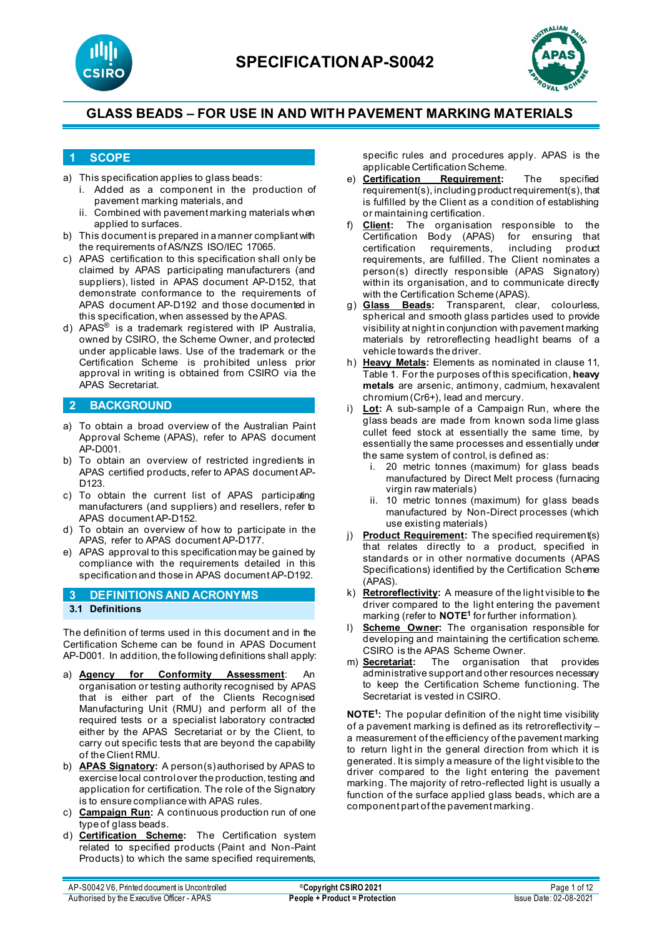



#### **1 SCOPE**

- a) This specification applies to glass beads:
	- i. Added as a component in the production of pavement marking materials, and
	- ii. Combined with pavement marking materials when applied to surfaces.
- b) This document is prepared in a manner compliant with the requirements of AS/NZS ISO/IEC 17065.
- c) APAS certification to this specification shall only be claimed by APAS participating manufacturers (and suppliers), listed in APAS document AP-D152, that demonstrate conformance to the requirements of APAS document AP-D192 and those documented in this specification, when assessed by the APAS.
- d) APAS® is a trademark registered with IP Australia, owned by CSIRO, the Scheme Owner, and protected under applicable laws. Use of the trademark or the Certification Scheme is prohibited unless prior approval in writing is obtained from CSIRO via the APAS Secretariat.

### **2 BACKGROUND**

- a) To obtain a broad overview of the Australian Paint Approval Scheme (APAS), refer to APAS document AP-D001.
- b) To obtain an overview of restricted ingredients in APAS certified products, refer to APAS document AP-D<sub>123</sub>
- c) To obtain the current list of APAS participating manufacturers (and suppliers) and resellers, refer to APAS document AP-D152.
- d) To obtain an overview of how to participate in the APAS, refer to APAS document AP-D177.
- e) APAS approval to this specification may be gained by compliance with the requirements detailed in this specification and those in APAS document AP-D192.

### **3 DEFINITIONS AND ACRONYMS 3.1 Definitions**

The definition of terms used in this document and in the Certification Scheme can be found in APAS Document AP-D001. In addition, the following definitions shall apply:

- a) **Agency for Conformity Assessment**: An organisation or testing authority recognised by APAS that is either part of the Clients Recognised Manufacturing Unit (RMU) and perform all of the required tests or a specialist laboratory contracted either by the APAS Secretariat or by the Client, to carry out specific tests that are beyond the capability of the Client RMU.
- b) **APAS Signatory:** A person(s) authorised by APAS to exercise local control over the production, testing and application for certification. The role of the Signatory is to ensure compliance with APAS rules.
- c) **Campaign Run:** A continuous production run of one type of glass beads.
- d) **Certification Scheme:** The Certification system related to specified products (Paint and Non-Paint Products) to which the same specified requirements,

specific rules and procedures apply. APAS is the applicable Certification Scheme.<br>Certification Requirement:

- e) **Certification Requirement:** The specified requirement(s), including product requirement(s), that is fulfilled by the Client as a condition of establishing or maintaining certification.
- f) **Client:** The organisation responsible to the Certification Body (APAS) certification requirements, including product requirements, are fulfilled. The Client nominates a person(s) directly responsible (APAS Signatory) within its organisation, and to communicate directly with the Certification Scheme (APAS).<br>g) **Glass Beads:** Transparent, clea
- Transparent, clear, colourless, spherical and smooth glass particles used to provide visibility at night in conjunction with pavement marking materials by retroreflecting headlight beams of a vehicle towards the driver.
- h) **Heavy Metals:** Elements as nominated in clause 11, Table 1. For the purposes of this specification, **heavy metals** are arsenic, antimony, cadmium, hexavalent chromium (Cr6+), lead and mercury.
- i) **Lot:** A sub-sample of a Campaign Run, where the glass beads are made from known soda lime glass cullet feed stock at essentially the same time, by essentially the same processes and essentially under the same system of control, is defined as:
	- i. 20 metric tonnes (maximum) for glass beads manufactured by Direct Melt process (furnacing virgin raw materials)
	- ii. 10 metric tonnes (maximum) for glass beads manufactured by Non-Direct processes (which use existing materials)
- j) **Product Requirement:** The specified requirement(s) that relates directly to a product, specified in standards or in other normative documents (APAS Specifications) identified by the Certification Scheme (APAS).
- k) **Retroreflectivity:** A measure of the light visible to the driver compared to the light entering the pavement marking (refer to **NOTE1** for further information).
- l) **Scheme Owner:** The organisation responsible for developing and maintaining the certification scheme. CSIRO is the APAS Scheme Owner.
- m) **Secretariat:** The organisation that provides administrative support and other resources necessary to keep the Certification Scheme functioning. The Secretariat is vested in CSIRO.

**NOTE1 :** The popular definition of the night time visibility of a pavement marking is defined as its retroreflectivity – a measurement of the efficiency of the pavement marking to return light in the general direction from which it is generated. It is simply a measure of the light visible to the driver compared to the light entering the pavement marking. The majority of retro-reflected light is usually a function of the surface applied glass beads, which are a component part of the pavement marking.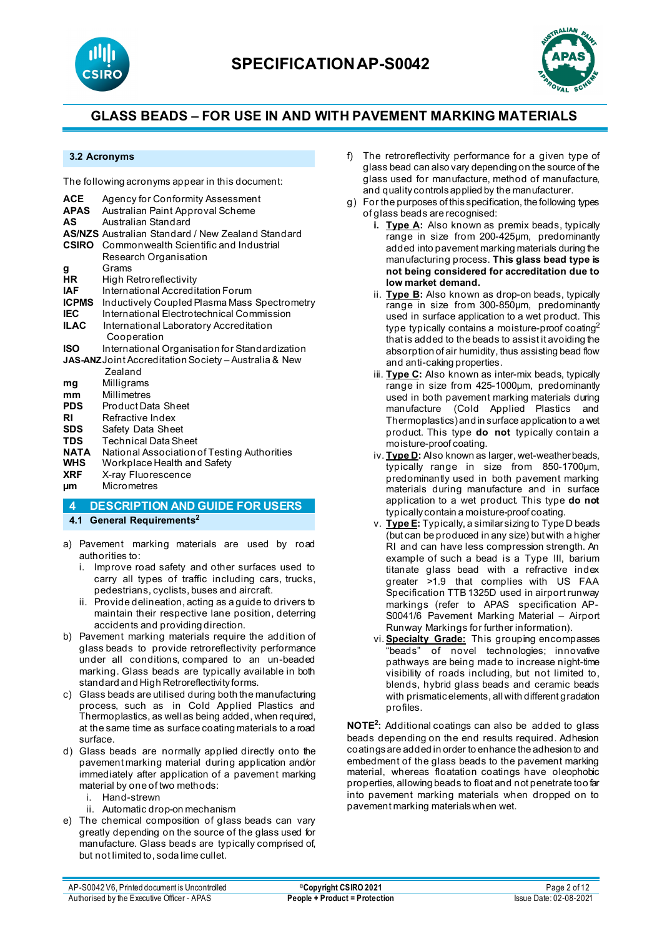



#### **3.2 Acronyms**

The following acronyms appear in this document:

| <b>ACE</b>                                            | Agency for Conformity Assessment                         |  |  |  |
|-------------------------------------------------------|----------------------------------------------------------|--|--|--|
| <b>APAS</b>                                           | Australian Paint Approval Scheme                         |  |  |  |
| AS                                                    | Australian Standard                                      |  |  |  |
|                                                       | <b>AS/NZS</b> Australian Standard / New Zealand Standard |  |  |  |
|                                                       | <b>CSIRO</b> Commonwealth Scientific and Industrial      |  |  |  |
|                                                       | Research Organisation                                    |  |  |  |
| g                                                     | Grams                                                    |  |  |  |
| HR                                                    | High Retroreflectivity                                   |  |  |  |
| <b>IAF</b>                                            | International Accreditation Forum                        |  |  |  |
| <b>ICPMS</b>                                          | Inductively Coupled Plasma Mass Spectrometry             |  |  |  |
| <b>IEC</b>                                            | International Flectrotechnical Commission                |  |  |  |
| <b>ILAC</b>                                           | International Laboratory Accreditation                   |  |  |  |
|                                                       | Cooperation                                              |  |  |  |
| ISO                                                   | International Organisation for Standardization           |  |  |  |
| JAS-ANZ Joint Accreditation Society - Australia & New |                                                          |  |  |  |
|                                                       | Zealand                                                  |  |  |  |
| mg                                                    | Milligrams                                               |  |  |  |
| mm                                                    | <b>Millimetres</b>                                       |  |  |  |
| <b>PDS</b>                                            | <b>Product Data Sheet</b>                                |  |  |  |
| RI                                                    | Refractive Index                                         |  |  |  |
| <b>SDS</b>                                            | Safety Data Sheet                                        |  |  |  |
| <b>TDS</b>                                            | <b>Technical Data Sheet</b>                              |  |  |  |
| NATA                                                  | National Association of Testing Authorities              |  |  |  |
| <b>WHS</b>                                            | Workplace Health and Safety                              |  |  |  |
| <b>XRF</b>                                            | X-ray Fluorescence                                       |  |  |  |
| μm                                                    | <b>Micrometres</b>                                       |  |  |  |
| 4                                                     | <b>DESCRIPTION AND GUIDE FOR USERS</b>                   |  |  |  |

**4.1 General Requirements2**

- a) Pavement marking materials are used by road authorities to:
	- i. Improve road safety and other surfaces used to carry all types of traffic including cars, trucks, pedestrians, cyclists, buses and aircraft.
	- ii. Provide delineation, acting as a guide to drivers to maintain their respective lane position, deterring accidents and providing direction.
- b) Pavement marking materials require the addition of glass beads to provide retroreflectivity performance under all conditions, compared to an un-beaded marking. Glass beads are typically available in both standard and High Retroreflectivity forms.
- c) Glass beads are utilised during both the manufacturing process, such as in Cold Applied Plastics and Thermoplastics, as well as being added, when required, at the same time as surface coating materials to a road surface.
- d) Glass beads are normally applied directly onto the pavement marking material during application and/or immediately after application of a pavement marking material by one of two methods:
	- i. Hand-strewn
	- ii. Automatic drop-on mechanism
- e) The chemical composition of glass beads can vary greatly depending on the source of the glass used for manufacture. Glass beads are typically comprised of, but not limited to, soda lime cullet.
- f) The retroreflectivity performance for a given type of glass bead can also vary depending on the source of the glass used for manufacture, method of manufacture, and quality controls applied by the manufacturer.
- g) For the purposes of this specification, the following types of glass beads are recognised:
	- **i. Type A:** Also known as premix beads, typically range in size from 200-425µm, predominantly added into pavement marking materials during the manufacturing process. **This glass bead type is not being considered for accreditation due to low market demand.**
		- ii. **Type B:** Also known as drop-on beads, typically range in size from 300-850um, predominantly used in surface application to a wet product. This type typically contains a moisture-proof coating<sup>2</sup> that is added to the beads to assist it avoiding the absorption of air humidity, thus assisting bead flow and anti-caking properties.
		- iii. **Type C:** Also known as inter-mix beads, typically range in size from 425-1000µm, predominantly used in both pavement marking materials during manufacture (Cold Applied Plastics and Thermoplastics) and in surface application to a wet product. This type **do not** typically contain a moisture-proof coating.
		- iv. **Type D:** Also known as larger, wet-weather beads, typically range in size from 850-1700µm, predominantly used in both pavement marking materials during manufacture and in surface application to a wet product. This type **do not** typically contain a moisture-proof coating.
		- v. **Type E:** Typically, a similar sizing to Type D beads (but can be produced in any size) but with a higher RI and can have less compression strength. An example of such a bead is a Type III, barium titanate glass bead with a refractive index greater >1.9 that complies with US FAA Specification TTB 1325D used in airport runway markings (refer to APAS specification AP-S0041/6 Pavement Marking Material – Airport Runway Markings for further information).
	- vi. **Specialty Grade:** This grouping encompasses "beads" of novel technologies; innovative pathways are being made to increase night-time visibility of roads including, but not limited to, blends, hybrid glass beads and ceramic beads with prismatic elements, all with different gradation profiles.

**NOTE2 :** Additional coatings can also be added to glass beads depending on the end results required. Adhesion coatings are added in order to enhance the adhesion to and embedment of the glass beads to the pavement marking material, whereas floatation coatings have oleophobic properties, allowing beads to float and not penetrate too far into pavement marking materials when dropped on to pavement marking materialswhen wet.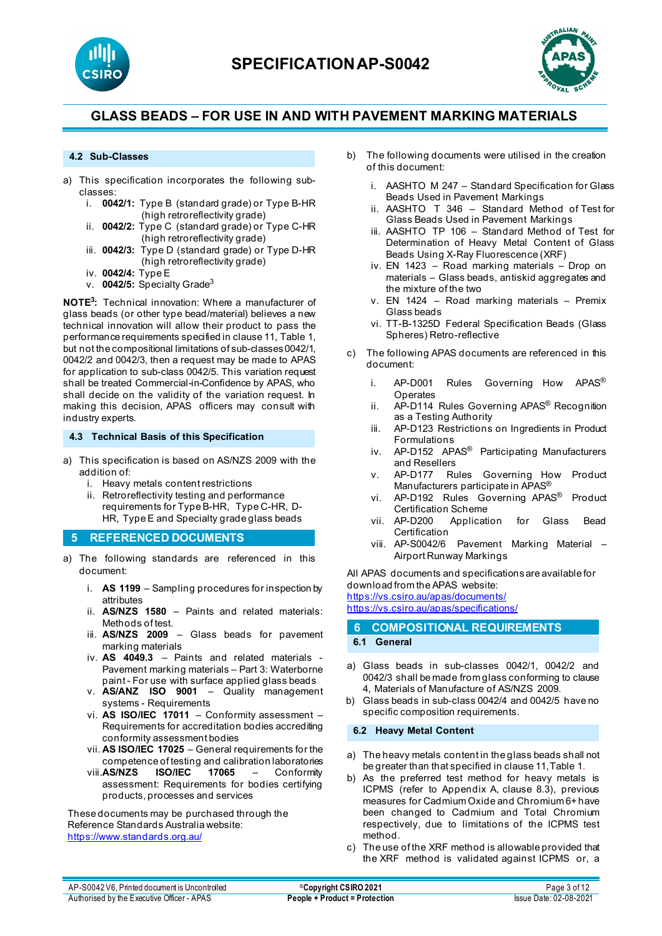



#### **4.2 Sub-Classes**

- a) This specification incorporates the following subclasses:
	- i. **0042/1:** Type B (standard grade) or Type B-HR (high retroreflectivity grade)
	- ii. **0042/2:** Type C (standard grade) or Type C-HR (high retroreflectivity grade)
	- iii. **0042/3:** Type D (standard grade) or Type D-HR (high retroreflectivity grade)
	- iv. **0042/4:** Type E
	- v. **0042/5:** Specialty Grade3

**NOTE3 :** Technical innovation: Where a manufacturer of glass beads (or other type bead/material) believes a new technical innovation will allow their product to pass the performance requirements specified in clause 11, Table 1, but not the compositional limitations of sub-classes 0042/1, 0042/2 and 0042/3, then a request may be made to APAS for application to sub-class 0042/5. This variation request shall be treated Commercial-in-Confidence by APAS, who shall decide on the validity of the variation request. In making this decision, APAS officers may consult with industry experts.

**4.3 Technical Basis of this Specification**

- a) This specification is based on AS/NZS 2009 with the addition of:
	- i. Heavy metals content restrictions
	- ii. Retroreflectivity testing and performance requirements for Type B-HR, Type C-HR, D-HR, Type E and Specialty grade glass beads

#### **5 REFERENCED DOCUMENTS**

- a) The following standards are referenced in this document:
	- i. **AS 1199** Sampling procedures for inspection by attributes
	- ii. **AS/NZS 1580** Paints and related materials: Methods of test.
	- iii. **AS/NZS 2009** [Glass beads](https://www.saiglobal.com/online/Script/Details.asp?DocN=AS0733764320AT) for pavement marking materials
	- iv. **AS 4049.3** [Paints and related materials -](https://www.saiglobal.com/online/Script/Details.asp?DocN=AS0733764320AT) [Pavement marking materials –](https://www.saiglobal.com/online/Script/Details.asp?DocN=AS0733764320AT) Part 3: Waterborne paint - [For use with surface applied glass beads](https://www.saiglobal.com/online/Script/Details.asp?DocN=AS0733764320AT)
	- v. **AS/ANZ ISO 9001** Quality management systems - Requirements
	- vi. **AS ISO/IEC 17011** Conformity assessment Requirements for accreditation bodies accrediting conformity assessment bodies
	- vii. **AS ISO/IEC 17025** General requirements for the competence of testing and calibration laboratories
	- viii.**AS/NZS ISO/IEC 17065**  Conformity assessment: Requirements for bodies certifying products, processes and services

These documents may be purchased through the Reference Standards Australia website: <https://www.standards.org.au/>

- b) The following documents were utilised in the creation of this document:
	- i. AASHTO M 247 Standard Specification for Glass Beads Used in Pavement Markings
	- ii. AASHTO T 346 Standard Method of Test for Glass Beads Used in Pavement Markings
	- iii. AASHTO TP 106 Standard Method of Test for Determination of Heavy Metal Content of Glass Beads Using X-Ray Fluorescence (XRF)
	- iv. EN 1423 Road marking materials Drop on materials – Glass beads, antiskid aggregates and the mixture of the two
	- v. EN 1424 Road marking materials Premix Glass beads
	- vi. TT-B-1325D Federal Specification Beads (Glass Spheres) Retro-reflective
- c) The following APAS documents are referenced in this document:
	- i. AP-D001 Rules Governing How APAS® Operates
	- ii. AP-D114 Rules Governing APAS<sup>®</sup> Recognition as a Testing Authority
	- iii. AP-D123 Restrictions on Ingredients in Product Formulations
	- iv. AP-D152 APAS<sup>®</sup> Participating Manufacturers and Resellers
	- v. AP-D177 Rules Governing How Product Manufacturers participate in APAS®
	- vi. AP-D192 Rules Governing APAS® Product Certification Scheme
	- vii. AP-D200 Application for Glass Bead Certification
	- viii. AP-S0042/6 Pavement Marking Material Airport Runway Markings

All APAS documents and specifications are available for download from the APAS website:

<https://vs.csiro.au/apas/documents/> https://vs.csiro.au/apas/specifications/

#### **6 COMPOSITIONAL REQUIREMENTS 6.1 General**

- a) Glass beads in sub-classes 0042/1, 0042/2 and 0042/3 shall be made from glass conforming to clause 4, Materials of Manufacture of AS/NZS 2009.
- b) Glass beads in sub-class 0042/4 and 0042/5 have no specific composition requirements.

#### **6.2 Heavy Metal Content**

- a) The heavy metals content in the glass beads shall not be greater than that specified in clause 11, Table 1.
- b) As the preferred test method for heavy metals is ICPMS (refer to Appendix A, clause 8.3), previous measures for Cadmium Oxide and Chromium 6+ have been changed to Cadmium and Total Chromium respectively, due to limitations of the ICPMS test method.
- c) The use of the XRF method is allowable provided that the XRF method is validated against ICPMS or, a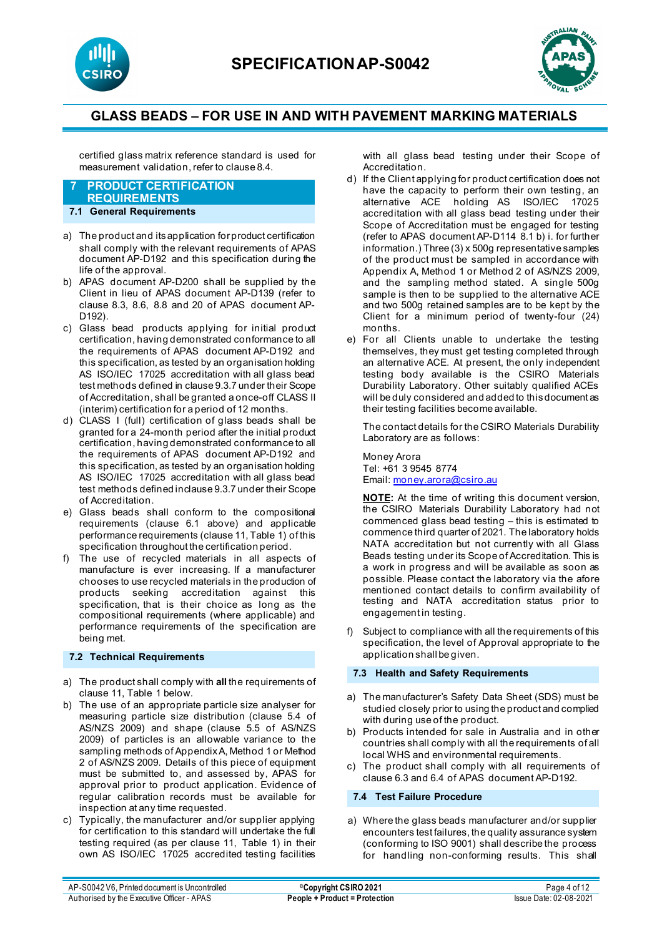



certified glass matrix reference standard is used for measurement validation, refer to clause 8.4.

#### **7 PRODUCT CERTIFICATION REQUIREMENTS**

### **7.1 General Requirements**

- a) The product and its application for product certification shall comply with the relevant requirements of APAS document AP-D192 and this specification during the life of the approval.
- b) APAS document AP-D200 shall be supplied by the Client in lieu of APAS document AP-D139 (refer to clause 8.3, 8.6, 8.8 and 20 of APAS document AP-D192).
- c) Glass bead products applying for initial product certification, having demonstrated conformance to all the requirements of APAS document AP-D192 and this specification, as tested by an organisation holding AS ISO/IEC 17025 accreditation with all glass bead test methods defined in clause 9.3.7 under their Scope of Accreditation, shall be granted a once-off CLASS II (interim) certification for a period of 12 months.
- d) CLASS I (full) certification of glass beads shall be granted for a 24-month period after the initial product certification, having demonstrated conformance to all the requirements of APAS document AP-D192 and this specification, as tested by an organisation holding AS ISO/IEC 17025 accreditation with all glass bead test methods defined inclause 9.3.7 under their Scope of Accreditation.
- e) Glass beads shall conform to the compositional requirements (clause 6.1 above) and applicable performance requirements (clause 11, Table 1) of this specification throughout the certification period.
- f) The use of recycled materials in all aspects of manufacture is ever increasing. If a manufacturer chooses to use recycled materials in the production of products seeking accreditation against this specification, that is their choice as long as the compositional requirements (where applicable) and performance requirements of the specification are being met.

#### **7.2 Technical Requirements**

- a) The product shall comply with **all** the requirements of clause 11, Table 1 below.
- b) The use of an appropriate particle size analyser for measuring particle size distribution (clause 5.4 of AS/NZS 2009) and shape (clause 5.5 of AS/NZS 2009) of particles is an allowable variance to the sampling methods of AppendixA, Method 1 or Method 2 of AS/NZS 2009. Details of this piece of equipment must be submitted to, and assessed by, APAS for approval prior to product application. Evidence of regular calibration records must be available for inspection at any time requested.
- c) Typically, the manufacturer and/or supplier applying for certification to this standard will undertake the full testing required (as per clause 11, Table 1) in their own AS ISO/IEC 17025 accredited testing facilities

with all glass bead testing under their Scope of Accreditation.

- d) If the Client applying for product certification does not have the capacity to perform their own testing, an alternative ACE holding AS ISO/IEC 17025 accreditation with all glass bead testing under their Scope of Accreditation must be engaged for testing (refer to APAS document AP-D114 8.1 b) i. for further information.) Three (3) x 500g representative samples of the product must be sampled in accordance with Appendix A, Method 1 or Method 2 of AS/NZS 2009, and the sampling method stated. A single 500g sample is then to be supplied to the alternative ACE and two 500g retained samples are to be kept by the Client for a minimum period of twenty-four (24) months.
- e) For all Clients unable to undertake the testing themselves, they must get testing completed through an alternative ACE. At present, the only independent testing body available is the CSIRO Materials Durability Laboratory. Other suitably qualified ACEs will be duly considered and added to this document as their testing facilities become available.

The contact details for the CSIRO Materials Durability Laboratory are as follows:

Money Arora Tel: +61 3 9545 8774 Email[: money.arora@csiro.au](mailto:money.arora@csiro.au)

**NOTE:** At the time of writing this document version, the CSIRO Materials Durability Laboratory had not commenced glass bead testing – this is estimated to commence third quarter of 2021. The laboratory holds NATA accreditation but not currently with all Glass Beads testing under its Scope of Accreditation. This is a work in progress and will be available as soon as possible. Please contact the laboratory via the afore mentioned contact details to confirm availability of testing and NATA accreditation status prior to engagement in testing.

f) Subject to compliance with all the requirements of this specification, the level of Approval appropriate to the application shall be given.

#### **7.3 Health and Safety Requirements**

- a) The manufacturer's Safety Data Sheet (SDS) must be studied closely prior to using the product and complied with during use of the product.
- b) Products intended for sale in Australia and in other countries shall comply with all the requirements of all local WHS and environmental requirements.
- c) The product shall comply with all requirements of clause 6.3 and 6.4 of APAS document AP-D192.

#### **7.4 Test Failure Procedure**

a) Where the glass beads manufacturer and/or supplier encounters test failures, the quality assurance system (conforming to ISO 9001) shall describe the process for handling non-conforming results. This shall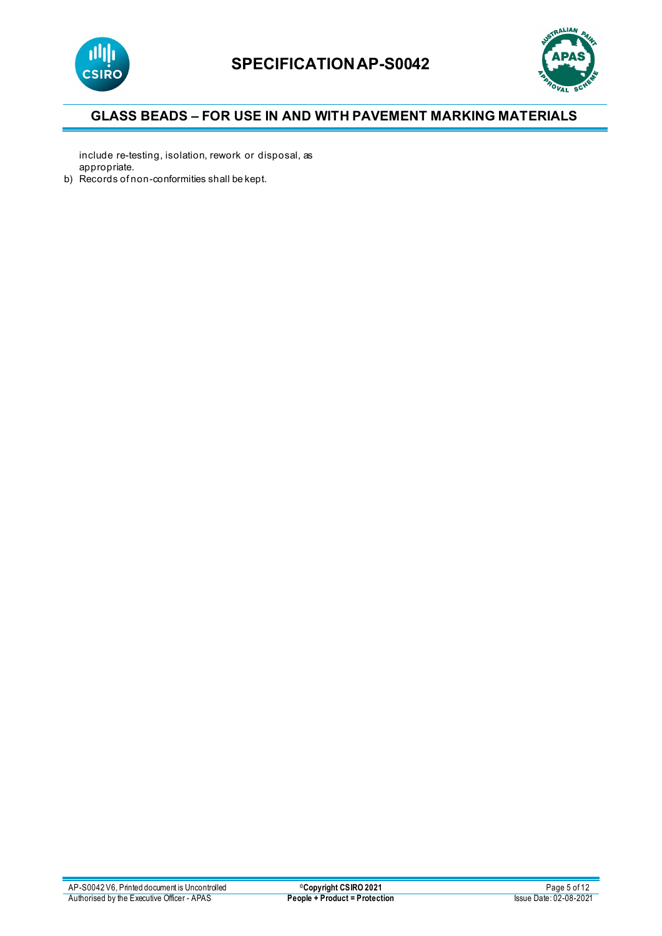



include re-testing, isolation, rework or disposal, as appropriate.

b) Records of non-conformities shall be kept.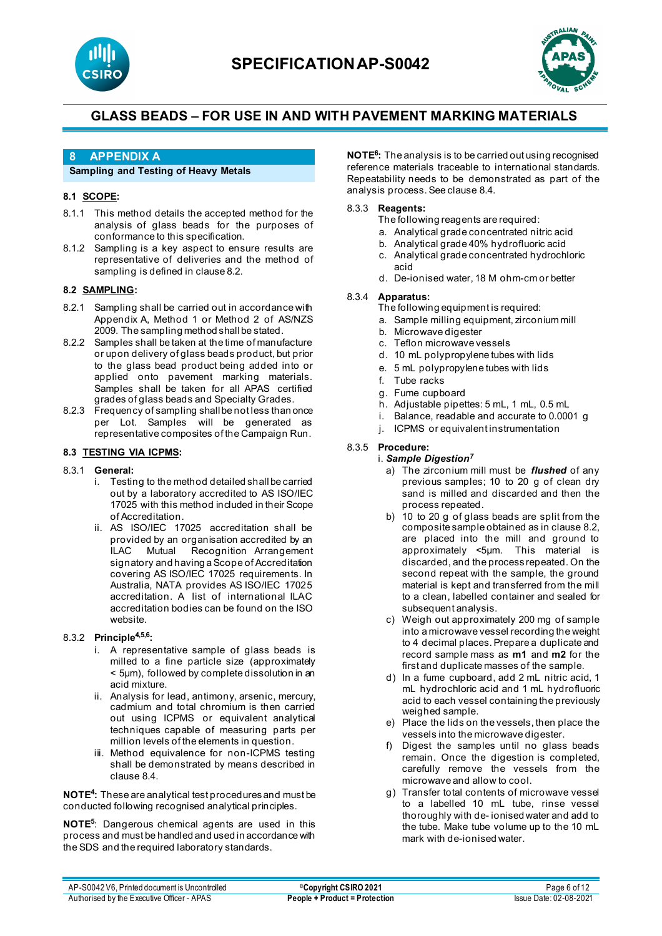



### **8 APPENDIX A**

#### **Sampling and Testing of Heavy Metals**

#### **8.1 SCOPE:**

- 8.1.1 This method details the accepted method for the analysis of glass beads for the purposes of conformance to this specification.
- 8.1.2 Sampling is a key aspect to ensure results are representative of deliveries and the method of sampling is defined in clause 8.2.

### **8.2 SAMPLING:**

- 8.2.1 Sampling shall be carried out in accordance with Appendix A, Method 1 or Method 2 of AS/NZS 2009. The sampling method shall be stated.
- 8.2.2 Samples shall be taken at the time of manufacture or upon delivery of glass beads product, but prior to the glass bead product being added into or applied onto pavement marking materials. Samples shall be taken for all APAS certified grades of glass beads and Specialty Grades.
- 8.2.3 Frequency of sampling shall be not less than once per Lot. Samples will be generated as representative composites of the Campaign Run.

#### **8.3 TESTING VIA ICPMS:**

- 8.3.1 **General:**
	- i. Testing to the method detailed shall be carried out by a laboratory accredited to AS ISO/IEC 17025 with this method included in their Scope of Accreditation.
	- ii. AS ISO/IEC 17025 accreditation shall be provided by an organisation accredited by an<br>ILAC Mutual Recognition Arrangement Recognition Arrangement signatory and having a Scope of Accreditation covering AS ISO/IEC 17025 requirements. In Australia, NATA provides AS ISO/IEC 17025 accreditation. A list of international ILAC accreditation bodies can be found on the ISO website.

#### 8.3.2 **Principle4,5,6:**

- i. A representative sample of glass beads is milled to a fine particle size (approximately < 5µm), followed by complete dissolution in an acid mixture.
- ii. Analysis for lead, antimony, arsenic, mercury, cadmium and total chromium is then carried out using ICPMS or equivalent analytical techniques capable of measuring parts per million levels of the elements in question.
- iii. Method equivalence for non-ICPMS testing shall be demonstrated by means described in clause 8.4.

**NOTE4:** These are analytical test procedures and must be conducted following recognised analytical principles.

**NOTE5** : Dangerous chemical agents are used in this process and must be handled and used in accordance with the SDS and the required laboratory standards.

**NOTE6 :** The analysis is to be carried out using recognised reference materials traceable to international standards. Repeatability needs to be demonstrated as part of the analysis process. See clause 8.4.

#### 8.3.3 **Reagents:**

The following reagents are required:

- a. Analytical grade concentrated nitric acid
- b. Analytical grade 40% hydrofluoric acid
- c. Analytical grade concentrated hydrochloric acid
- d. De-ionised water, 18 M ohm-cm or better

#### 8.3.4 **Apparatus:**

- The following equipment is required:
	- a. Sample milling equipment, zirconium mill
	- Microwave digester
	- c. Teflon microwave vessels
	- d. 10 mL polypropylene tubes with lids
	- e. 5 mL polypropylene tubes with lids
	- f. Tube racks
	- g. Fume cupboard
	- h. Adjustable pipettes: 5 mL, 1 mL, 0.5 mL
	- i. Balance, readable and accurate to 0.0001 g
	- j. ICPMS or equivalent instrumentation

#### 8.3.5 **Procedure:**

- i. *Sample Digestion<sup>7</sup>*
	- a) The zirconium mill must be *flushed* of any previous samples; 10 to 20 g of clean dry sand is milled and discarded and then the process repeated.
	- b) 10 to 20 g of glass beads are split from the composite sample obtained as in clause 8.2, are placed into the mill and ground to approximately <5µm. This material is discarded, and the process repeated. On the second repeat with the sample, the ground material is kept and transferred from the mill to a clean, labelled container and sealed for subsequent analysis.
	- c) Weigh out approximately 200 mg of sample into a microwave vessel recording the weight to 4 decimal places. Prepare a duplicate and record sample mass as **m1** and **m2** for the first and duplicate masses of the sample.
	- d) In a fume cupboard, add 2 mL nitric acid, 1 mL hydrochloric acid and 1 mL hydrofluoric acid to each vessel containing the previously weighed sample.
	- e) Place the lids on the vessels, then place the vessels into the microwave digester.
	- f) Digest the samples until no glass beads remain. Once the digestion is completed, carefully remove the vessels from the microwave and allow to cool.
	- g) Transfer total contents of microwave vessel to a labelled 10 mL tube, rinse vessel thoroughly with de- ionised water and add to the tube. Make tube volume up to the 10 mL mark with de-ionised water.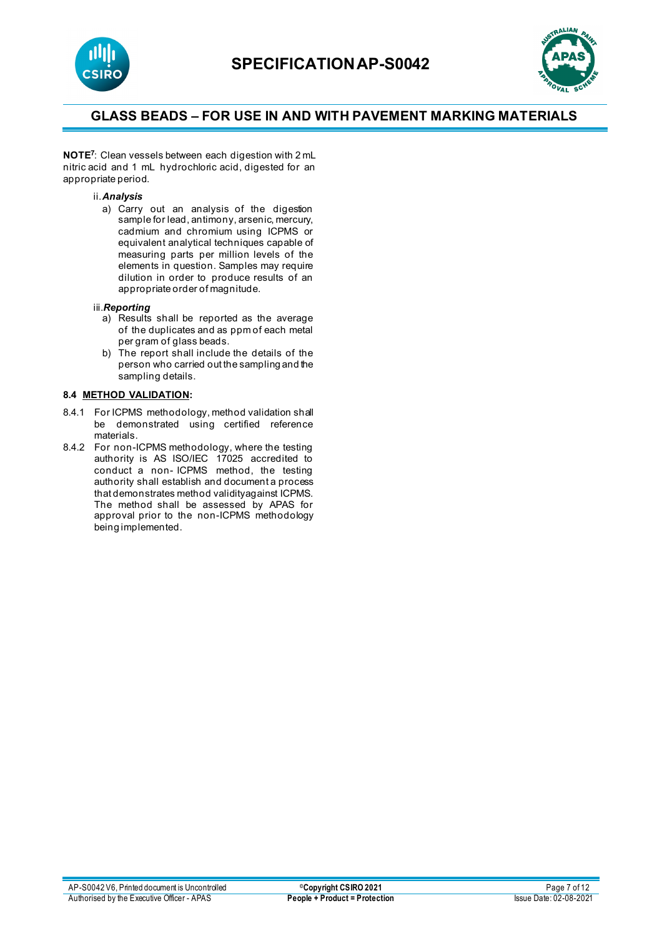



**NOTE7** : Clean vessels between each digestion with 2 mL nitric acid and 1 mL hydrochloric acid, digested for an appropriate period.

#### ii.*Analysis*

a) Carry out an analysis of the digestion sample for lead, antimony, arsenic, mercury, cadmium and chromium using ICPMS or equivalent analytical techniques capable of measuring parts per million levels of the elements in question. Samples may require dilution in order to produce results of an appropriate order of magnitude.

#### iii.*Reporting*

- a) Results shall be reported as the average of the duplicates and as ppm of each metal per gram of glass beads.
- b) The report shall include the details of the person who carried out the sampling and the sampling details.

#### **8.4 METHOD VALIDATION:**

- 8.4.1 For ICPMS methodology, method validation shall be demonstrated using certified reference materials.
- 8.4.2 For non-ICPMS methodology, where the testing authority is AS ISO/IEC 17025 accredited to conduct a non- ICPMS method, the testing authority shall establish and document a process that demonstrates method validityagainst ICPMS. The method shall be assessed by APAS for approval prior to the non-ICPMS methodology being implemented.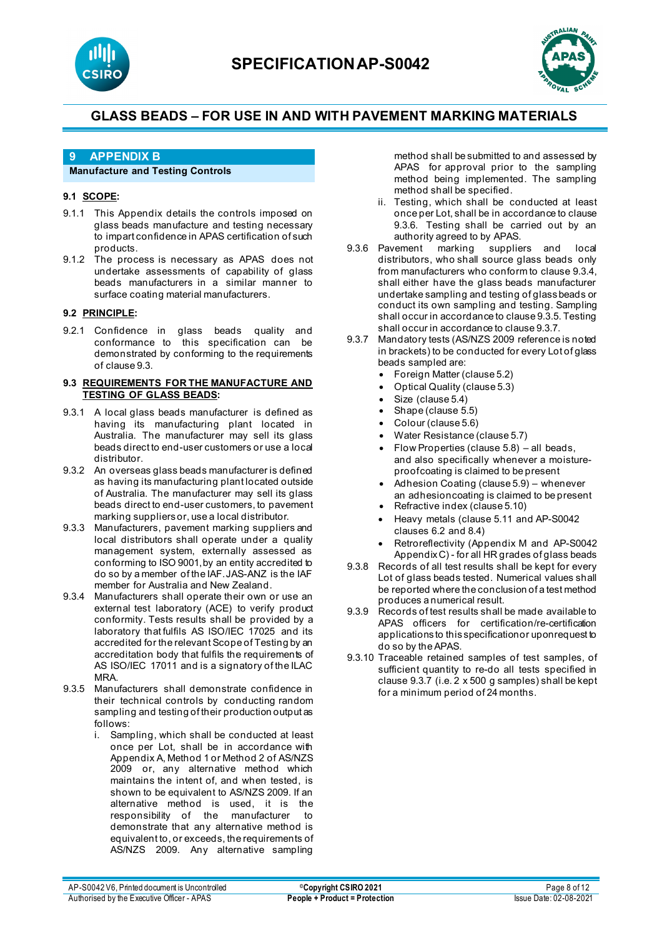



### **9 APPENDIX B**

#### **Manufacture and Testing Controls**

#### **9.1 SCOPE:**

- 9.1.1 This Appendix details the controls imposed on glass beads manufacture and testing necessary to impart confidence in APAS certification of such products.
- 9.1.2 The process is necessary as APAS does not undertake assessments of capability of glass beads manufacturers in a similar manner to surface coating material manufacturers.

#### **9.2 PRINCIPLE:**

9.2.1 Confidence in glass beads quality and conformance to this specification can be demonstrated by conforming to the requirements of clause 9.3.

#### **9.3 REQUIREMENTS FOR THE MANUFACTURE AND TESTING OF GLASS BEADS:**

- 9.3.1 A local glass beads manufacturer is defined as having its manufacturing plant located in Australia. The manufacturer may sell its glass beads direct to end-user customers or use a local distributor.
- 9.3.2 An overseas glass beads manufacturer is defined as having its manufacturing plant located outside of Australia. The manufacturer may sell its glass beads direct to end-user customers, to pavement marking suppliersor, use a local distributor.
- 9.3.3 Manufacturers, pavement marking suppliers and local distributors shall operate under a quality management system, externally assessed as conforming to ISO 9001,by an entity accredited to do so by a member of the IAF.JAS-ANZ is the IAF member for Australia and New Zealand.
- 9.3.4 Manufacturers shall operate their own or use an external test laboratory (ACE) to verify product conformity. Tests results shall be provided by a laboratory that fulfils AS ISO/IEC 17025 and its accredited for the relevant Scope of Testing by an accreditation body that fulfils the requirements of AS ISO/IEC 17011 and is a signatory of the ILAC MRA.
- 9.3.5 Manufacturers shall demonstrate confidence in their technical controls by conducting random sampling and testing of their production output as follows:
	- i. Sampling, which shall be conducted at least once per Lot, shall be in accordance with Appendix A, Method 1 or Method 2 of AS/NZS 2009 or, any alternative method which maintains the intent of, and when tested, is shown to be equivalent to AS/NZS 2009. If an alternative method is used, it is the responsibility of the manufacturer to demonstrate that any alternative method is equivalent to, or exceeds, the requirements of AS/NZS 2009. Any alternative sampling

method shall be submitted to and assessed by APAS for approval prior to the sampling method being implemented. The sampling method shall be specified.

- ii. Testing, which shall be conducted at least once per Lot, shall be in accordance to clause 9.3.6. Testing shall be carried out by an authority agreed to by APAS.
- 9.3.6 Pavement marking suppliers and local distributors, who shall source glass beads only from manufacturers who conform to clause 9.3.4, shall either have the glass beads manufacturer undertake sampling and testing of glass beads or conduct its own sampling and testing. Sampling shall occur in accordance to clause 9.3.5. Testing shall occur in accordance to clause 9.3.7.
- 9.3.7 Mandatory tests (AS/NZS 2009 reference is noted in brackets) to be conducted for every Lot of glass beads sampled are:
	- Foreign Matter (clause 5.2)
	- Optical Quality (clause 5.3)
	- Size (clause 5.4)
	- Shape (clause 5.5)
	- Colour (clause 5.6)
	- Water Resistance (clause 5.7)
	- Flow Properties (clause  $5.8$ ) all beads, and also specifically whenever a moistureproofcoating is claimed to be present
	- Adhesion Coating (clause 5.9) whenever an adhesioncoating is claimed to be present
	- Refractive index (clause 5.10)
	- Heavy metals (clause 5.11 and AP-S0042 clauses 6.2 and 8.4)
	- Retroreflectivity (Appendix M and AP-S0042 Appendix C) - for all HR grades of glass beads
- 9.3.8 Records of all test results shall be kept for every Lot of glass beads tested. Numerical values shall be reported where the conclusion of a test method produces a numerical result.
- 9.3.9 Records of test results shall be made available to APAS officers for certification/re-certification applications to this specificationor uponrequest to do so by the APAS.
- 9.3.10 Traceable retained samples of test samples, of sufficient quantity to re-do all tests specified in clause 9.3.7 (i.e. 2 x 500 g samples) shall be kept for a minimum period of 24 months.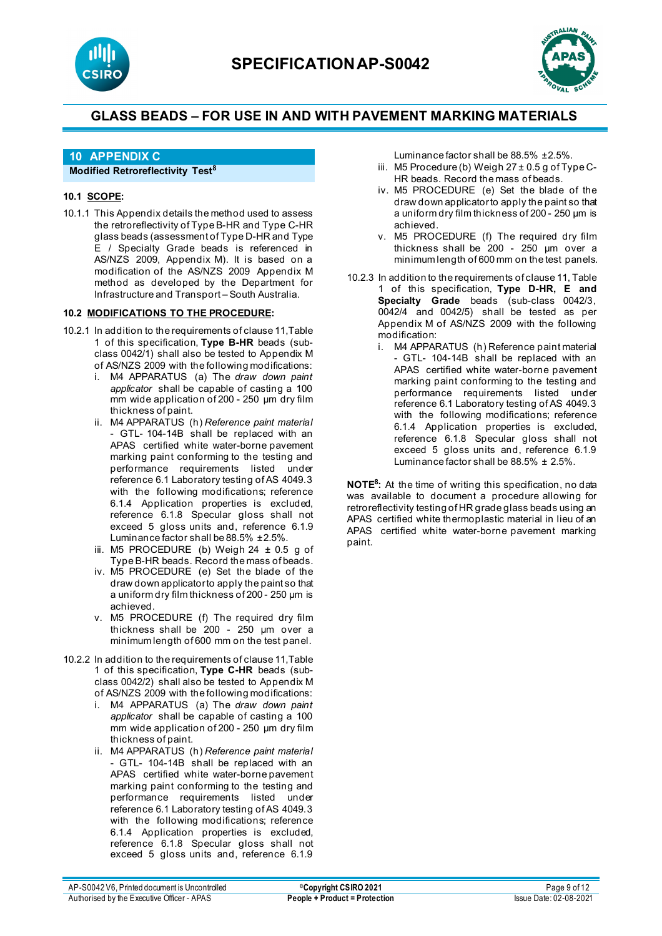



### **10 APPENDIX C**

#### **Modified Retroreflectivity Test<sup>8</sup>**

#### **10.1 SCOPE:**

10.1.1 This Appendix details the method used to assess the retroreflectivity of Type B-HR and Type C-HR glass beads (assessment of Type D-HR and Type E / Specialty Grade beads is referenced in AS/NZS 2009, Appendix M). It is based on a modification of the AS/NZS 2009 Appendix M method as developed by the Department for Infrastructure and Transport – South Australia.

#### **10.2 MODIFICATIONS TO THE PROCEDURE:**

- 10.2.1 In addition to the requirements of clause 11,Table 1 of this specification, **Type B-HR** beads (subclass 0042/1) shall also be tested to Appendix M of AS/NZS 2009 with the following modifications:
	- i. M4 APPARATUS (a) The *draw down paint applicator* shall be capable of casting a 100 mm wide application of 200 - 250 µm dry film thickness of paint.
	- ii. M4 APPARATUS (h) *Reference paint material*  - GTL- 104-14B shall be replaced with an APAS certified white water-borne pavement marking paint conforming to the testing and performance requirements listed under reference 6.1 Laboratory testing of AS 4049.3 with the following modifications; reference 6.1.4 Application properties is excluded, reference 6.1.8 Specular gloss shall not exceed 5 gloss units and, reference 6.1.9 Luminance factor shall be 88.5% ±2.5%.
	- iii. M5 PROCEDURE (b) Weigh  $24 \pm 0.5$  g of Type B-HR beads. Record the mass of beads.
	- iv. M5 PROCEDURE (e) Set the blade of the draw down applicator to apply the paint so that a uniform dry film thickness of 200 - 250 µm is achieved.
	- v. M5 PROCEDURE (f) The required dry film thickness shall be 200 - 250 µm over a minimum length of 600 mm on the test panel.
- 10.2.2 In addition to the requirements of clause 11,Table 1 of this specification, **Type C-HR** beads (subclass 0042/2) shall also be tested to Appendix M of AS/NZS 2009 with the following modifications:
	- i. M4 APPARATUS (a) The *draw down paint applicator* shall be capable of casting a 100 mm wide application of 200 - 250 µm dry film thickness of paint.
	- ii. M4 APPARATUS (h) *Reference paint material*  - GTL- 104-14B shall be replaced with an APAS certified white water-borne pavement marking paint conforming to the testing and performance requirements listed under reference 6.1 Laboratory testing of AS 4049.3 with the following modifications; reference 6.1.4 Application properties is excluded, reference 6.1.8 Specular gloss shall not exceed 5 gloss units and, reference 6.1.9
- Luminance factor shall be 88.5% ±2.5%.
- iii. M5 Procedure (b) Weigh  $27 \pm 0.5$  g of Type C-HR beads. Record the mass of beads.
- iv. M5 PROCEDURE (e) Set the blade of the draw down applicator to apply the paint so that a uniform dry film thickness of 200 - 250 µm is achieved.
- v. M5 PROCEDURE (f) The required dry film thickness shall be 200 - 250 µm over a minimum length of 600 mm on the test panels.
- 10.2.3 In addition to the requirements of clause 11, Table 1 of this specification, **Type D-HR, E and Specialty Grade** beads (sub-class 0042/3, 0042/4 and 0042/5) shall be tested as per Appendix M of AS/NZS 2009 with the following modification:
	- i. M4 APPARATUS (h) Reference paint material - GTL- 104-14B shall be replaced with an APAS certified white water-borne pavement marking paint conforming to the testing and performance requirements listed under reference 6.1 Laboratory testing of AS 4049.3 with the following modifications; reference 6.1.4 Application properties is excluded, reference 6.1.8 Specular gloss shall not exceed 5 gloss units and, reference 6.1.9 Luminance factor shall be 88.5% ± 2.5%.

**NOTE8:** At the time of writing this specification, no data was available to document a procedure allowing for retroreflectivity testing of HR grade glass beads using an APAS certified white thermoplastic material in lieu of an APAS certified white water-borne pavement marking paint.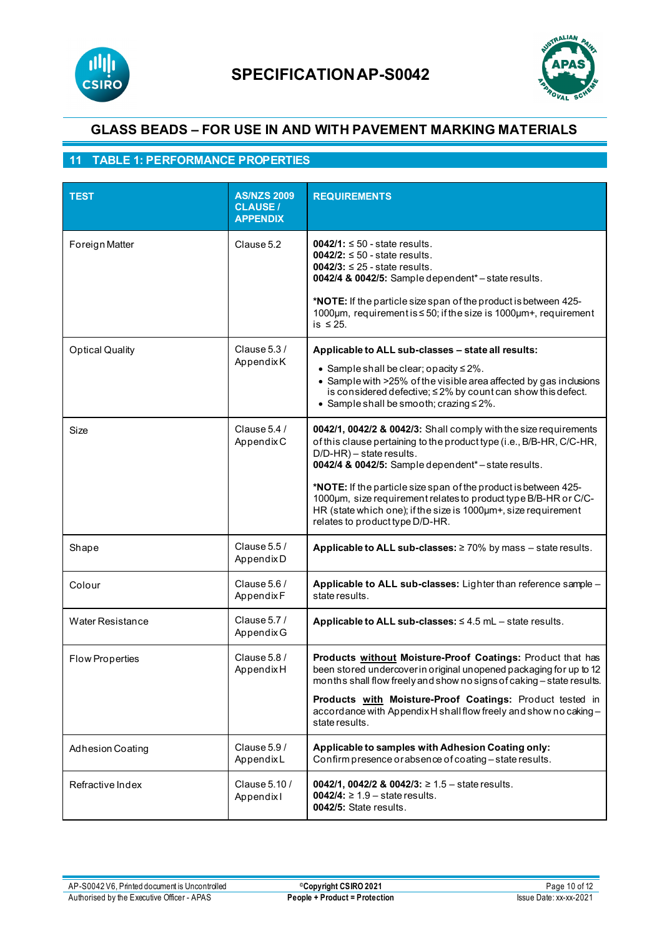



## **11 TABLE 1: PERFORMANCE PROPERTIES**

| <b>TEST</b>             | <b>AS/NZS 2009</b><br><b>CLAUSE/</b><br><b>APPENDIX</b> | <b>REQUIREMENTS</b>                                                                                                                                                                                                                                                                                                                                                                                                                                                  |
|-------------------------|---------------------------------------------------------|----------------------------------------------------------------------------------------------------------------------------------------------------------------------------------------------------------------------------------------------------------------------------------------------------------------------------------------------------------------------------------------------------------------------------------------------------------------------|
| Foreign Matter          | Clause 5.2                                              | $0042/1$ : $\leq 50$ - state results.<br>$0042/2$ : $\leq 50$ - state results.<br>$0042/3$ : $\leq 25$ - state results.<br>0042/4 & 0042/5: Sample dependent*-state results.<br>*NOTE: If the particle size span of the product is between 425-<br>1000µm, requirement is ≤ 50; if the size is 1000µm+, requirement<br>is $\leq 25$ .                                                                                                                                |
| <b>Optical Quality</b>  | Clause 5.3 /<br>AppendixK                               | Applicable to ALL sub-classes - state all results:<br>• Sample shall be clear; opacity $\leq 2\%$ .<br>• Sample with >25% of the visible area affected by gas inclusions<br>is considered defective; ≤2% by count can show this defect.<br>• Sample shall be smooth; crazing $\leq 2\%$ .                                                                                                                                                                            |
| Size                    | Clause 5.4 /<br>AppendixC                               | 0042/1, 0042/2 & 0042/3: Shall comply with the size requirements<br>of this clause pertaining to the product type (i.e., B/B-HR, C/C-HR,<br>D/D-HR) - state results.<br>0042/4 & 0042/5: Sample dependent*-state results.<br>*NOTE: If the particle size span of the product is between 425-<br>1000um, size requirement relates to product type B/B-HR or C/C-<br>HR (state which one); if the size is 1000um+, size requirement<br>relates to product type D/D-HR. |
| Shape                   | Clause 5.5 /<br>Appendix D                              | Applicable to ALL sub-classes: $\geq 70\%$ by mass - state results.                                                                                                                                                                                                                                                                                                                                                                                                  |
| Colour                  | Clause $5.6/$<br>AppendixF                              | Applicable to ALL sub-classes: Lighter than reference sample -<br>state results.                                                                                                                                                                                                                                                                                                                                                                                     |
| <b>Water Resistance</b> | Clause 5.7 /<br>Appendix G                              | Applicable to ALL sub-classes: ≤4.5 mL - state results.                                                                                                                                                                                                                                                                                                                                                                                                              |
| <b>Flow Properties</b>  | Clause 5.8 /<br>AppendixH                               | Products without Moisture-Proof Coatings: Product that has<br>been stored undercover in original unopened packaging for up to 12<br>months shall flow freely and show no signs of caking – state results.<br>Products with Moisture-Proof Coatings: Product tested in<br>accordance with Appendix H shall flow freely and show no caking -<br>state results.                                                                                                         |
| <b>Adhesion Coating</b> | Clause $5.9/$<br>AppendixL                              | Applicable to samples with Adhesion Coating only:<br>Confirm presence or absence of coating - state results.                                                                                                                                                                                                                                                                                                                                                         |
| Refractive Index        | Clause 5.10 /<br>Appendixl                              | 0042/1, 0042/2 & 0042/3: ≥ 1.5 – state results.<br><b>0042/4:</b> ≥ 1.9 – state results.<br>0042/5: State results.                                                                                                                                                                                                                                                                                                                                                   |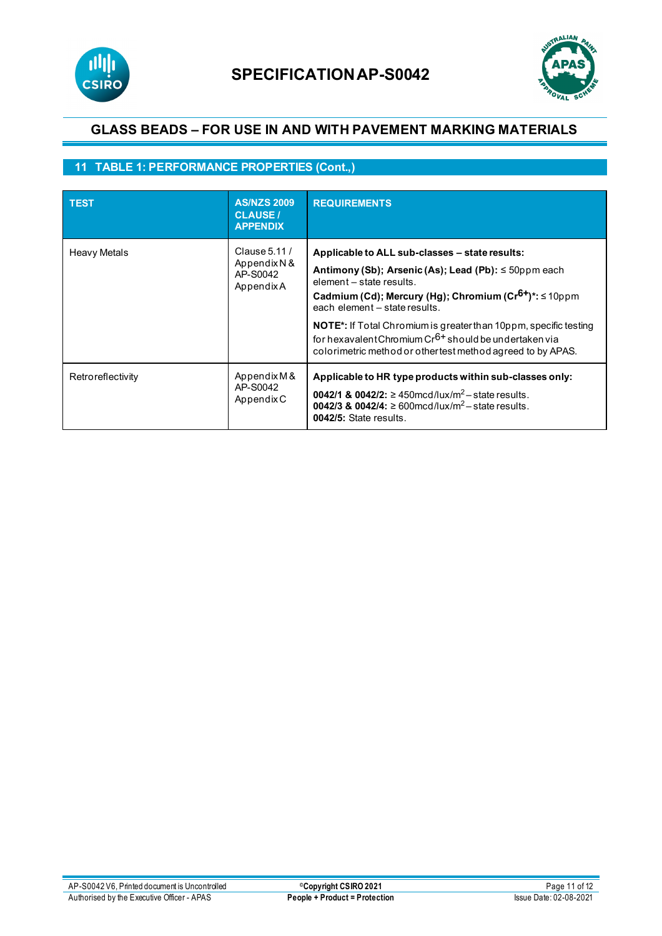



## **11 TABLE 1: PERFORMANCE PROPERTIES (Cont.,)**

| <b>TEST</b>       | <b>AS/NZS 2009</b><br><b>CLAUSE</b> /<br><b>APPENDIX</b> | <b>REQUIREMENTS</b>                                                                                                                                                                                                                                                                                                                                                                                                                                 |
|-------------------|----------------------------------------------------------|-----------------------------------------------------------------------------------------------------------------------------------------------------------------------------------------------------------------------------------------------------------------------------------------------------------------------------------------------------------------------------------------------------------------------------------------------------|
| Heavy Metals      | Clause 5.11 /<br>Appendix N &<br>AP-S0042<br>AppendixA   | Applicable to ALL sub-classes – state results:<br>Antimony (Sb); Arsenic (As); Lead (Pb): $\leq$ 50ppm each<br>element - state results.<br>Cadmium (Cd); Mercury (Hg); Chromium (Cr <sup>6+</sup> )*: ≤10ppm<br>each element - state results.<br><b>NOTE</b> *: If Total Chromium is greater than 10ppm, specific testing<br>for hexavalent Chromium $Cr6+$ should be undertaken via<br>colorimetric method or other test method agreed to by APAS. |
| Retroreflectivity | Appendix M &<br>AP-S0042<br>Appendix C                   | Applicable to HR type products within sub-classes only:<br>0042/1 & 0042/2: ≥450mcd/lux/m <sup>2</sup> – state results.<br>0042/3 & 0042/4: ≥ 600mcd/lux/m <sup>2</sup> – state results.<br>0042/5: State results.                                                                                                                                                                                                                                  |